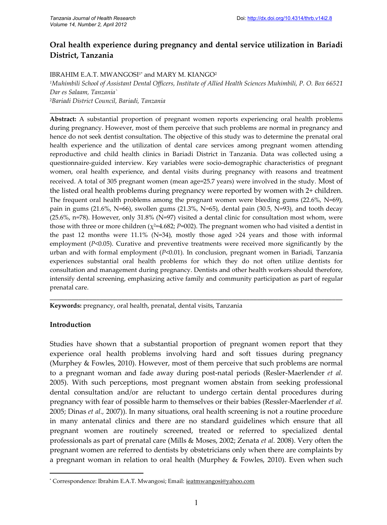# **Oral health experience during pregnancy and dental service utilization in Bariadi District, Tanzania**

# IBRAHIM E.A.T. MWANGOSI<sup>1\*</sup> and MARY M. KIANGO<sup>2</sup>

*<sup>1</sup>Muhimbili School of Assistant Dental Officers, Institute of Allied Health Sciences Muhimbili, P. O. Box 66521 Dar es Salaam, Tanzania`* <sup>2</sup>*Bariadi District Council, Bariadi, Tanzania*

**\_\_\_\_\_\_\_\_\_\_\_\_\_\_\_\_\_\_\_\_\_\_\_\_\_\_\_\_\_\_\_\_\_\_\_\_\_\_\_\_\_\_\_\_\_\_\_\_\_\_\_\_\_\_\_\_\_\_\_\_\_\_\_\_\_\_\_\_\_\_\_\_\_\_\_\_\_\_\_\_\_\_**

**Abstract:** A substantial proportion of pregnant women reports experiencing oral health problems during pregnancy. However, most of them perceive that such problems are normal in pregnancy and hence do not seek dentist consultation. The objective of this study was to determine the prenatal oral health experience and the utilization of dental care services among pregnant women attending reproductive and child health clinics in Bariadi District in Tanzania. Data was collected using a questionnaire-guided interview. Key variables were socio-demographic characteristics of pregnant women, oral health experience, and dental visits during pregnancy with reasons and treatment received. A total of 305 pregnant women (mean age=25.7 years) were involved in the study. Most of the listed oral health problems during pregnancy were reported by women with 2+ children. The frequent oral health problems among the pregnant women were bleeding gums (22.6%, N=69), pain in gums (21.6%, N=66), swollen gums (21.3%, N=65), dental pain (30.5, N=93), and tooth decay (25.6%, n=78). However, only 31.8% (N=97) visited a dental clinic for consultation most whom, were those with three or more children ( $\chi^2$ =4.682; *P*=002). The pregnant women who had visited a dentist in the past 12 months were  $11.1\%$  (N=34), mostly those aged  $>24$  years and those with informal employment (*P*<0.05). Curative and preventive treatments were received more significantly by the urban and with formal employment (*P*<0.01). In conclusion, pregnant women in Bariadi, Tanzania experiences substantial oral health problems for which they do not often utilize dentists for consultation and management during pregnancy. Dentists and other health workers should therefore, intensify dental screening, emphasizing active family and community participation as part of regular prenatal care.

\_\_\_\_\_\_\_\_\_\_\_\_\_\_\_\_\_\_\_\_\_\_\_\_\_\_\_\_\_\_\_\_\_\_\_\_\_\_\_\_\_\_\_\_\_\_\_\_\_\_\_\_\_\_\_\_\_\_\_\_\_\_\_\_\_\_\_\_\_\_\_\_\_\_\_\_\_\_\_\_\_\_

**Keywords:** pregnancy, oral health, prenatal, dental visits, Tanzania

# **Introduction**

Studies have shown that a substantial proportion of pregnant women report that they experience oral health problems involving hard and soft tissues during pregnancy (Murphey & Fowles, 2010). However, most of them perceive that such problems are normal to a pregnant woman and fade away during post-natal periods (Resler-Maerlender *et al.* 2005). With such perceptions, most pregnant women abstain from seeking professional dental consultation and/or are reluctant to undergo certain dental procedures during pregnancy with fear of possible harm to themselves or their babies (Ressler-Maerlender *et al.* 2005; Dinas *et al.,* 2007)). In many situations, oral health screening is not a routine procedure in many antenatal clinics and there are no standard guidelines which ensure that all pregnant women are routinely screened, treated or referred to specialized dental professionals as part of prenatal care (Mills & Moses, 2002; Zenata *et al.* 2008). Very often the pregnant women are referred to dentists by obstetricians only when there are complaints by a pregnant woman in relation to oral health (Murphey & Fowles, 2010). Even when such

<sup>\*</sup> Correspondence: Ibrahim E.A.T. Mwangosi; Email: ieatmwangosi@yahoo.com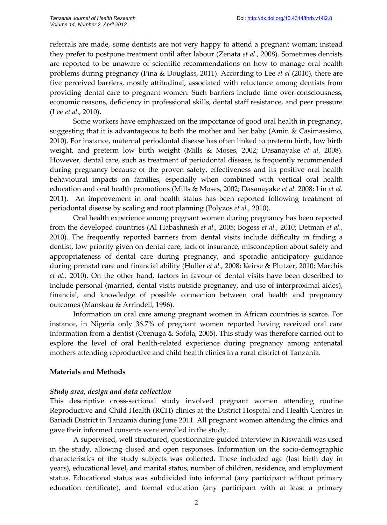referrals are made, some dentists are not very happy to attend a pregnant woman; instead they prefer to postpone treatment until after labour (Zenata *et al*., 2008). Sometimes dentists are reported to be unaware of scientific recommendations on how to manage oral health problems during pregnancy (Pina & Douglass, 2011). According to Lee *et al* (2010), there are five perceived barriers, mostly attitudinal, associated with reluctance among dentists from providing dental care to pregnant women. Such barriers include time over-consciousness, economic reasons, deficiency in professional skills, dental staff resistance, and peer pressure (Lee *et al*., 2010)**.**

Some workers have emphasized on the importance of good oral health in pregnancy, suggesting that it is advantageous to both the mother and her baby (Amin & Casimassimo, 2010). For instance, maternal periodontal disease has often linked to preterm birth, low birth weight, and preterm low birth weight (Mills & Moses, 2002; Dasanayake *et al.* 2008). However, dental care, such as treatment of periodontal disease, is frequently recommended during pregnancy because of the proven safety, effectiveness and its positive oral health behavioural impacts on families, especially when combined with vertical oral health education and oral health promotions (Mills & Moses, 2002; Dasanayake *et al.* 2008; Lin *et al.* 2011). An improvement in oral health status has been reported following treatment of periodontal disease by scaling and root planning (Polyzos *et al.,* 2010).

Oral health experience among pregnant women during pregnancy has been reported from the developed countries (Al Habashnesh *et al.,* 2005; Bogess *et al.,* 2010; Detman *et al.,* 2010). The frequently reported barriers from dental visits include difficulty in finding a dentist, low priority given on dental care, lack of insurance, misconception about safety and appropriateness of dental care during pregnancy, and sporadic anticipatory guidance during prenatal care and financial ability (Huller *et al.,* 2008; Keirse & Plutzer, 2010; Marchis *et al.,* 2010). On the other hand, factors in favour of dental visits have been described to include personal (married, dental visits outside pregnancy, and use of interproximal aides), financial, and knowledge of possible connection between oral health and pregnancy outcomes (Manskau & Arrindell, 1996).

Information on oral care among pregnant women in African countries is scarce. For instance, in Nigeria only 36.7% of pregnant women reported having received oral care information from a dentist (Orenuga & Sofola, 2005). This study was therefore carried out to explore the level of oral health-related experience during pregnancy among antenatal mothers attending reproductive and child health clinics in a rural district of Tanzania.

## **Materials and Methods**

## *Study area, design and data collection*

This descriptive cross-sectional study involved pregnant women attending routine Reproductive and Child Health (RCH) clinics at the District Hospital and Health Centres in Bariadi District in Tanzania during June 2011. All pregnant women attending the clinics and gave their informed consents were enrolled in the study.

A supervised, well structured, questionnaire-guided interview in Kiswahili was used in the study, allowing closed and open responses. Information on the socio-demographic characteristics of the study subjects was collected. These included age (last birth day in years), educational level, and marital status, number of children, residence, and employment status. Educational status was subdivided into informal (any participant without primary education certificate), and formal education (any participant with at least a primary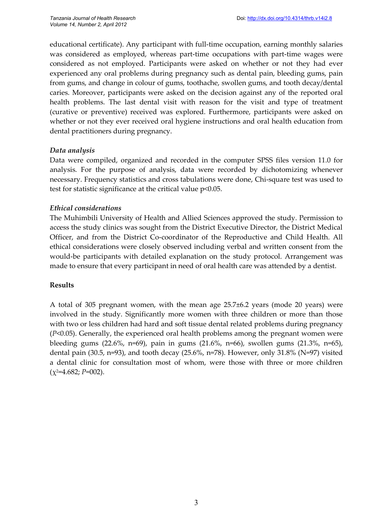educational certificate). Any participant with full-time occupation, earning monthly salaries was considered as employed, whereas part-time occupations with part-time wages were considered as not employed. Participants were asked on whether or not they had ever experienced any oral problems during pregnancy such as dental pain, bleeding gums, pain from gums, and change in colour of gums, toothache, swollen gums, and tooth decay/dental caries. Moreover, participants were asked on the decision against any of the reported oral health problems. The last dental visit with reason for the visit and type of treatment (curative or preventive) received was explored. Furthermore, participants were asked on whether or not they ever received oral hygiene instructions and oral health education from dental practitioners during pregnancy.

# *Data analysis*

Data were compiled, organized and recorded in the computer SPSS files version 11.0 for analysis. For the purpose of analysis, data were recorded by dichotomizing whenever necessary. Frequency statistics and cross tabulations were done, Chi-square test was used to test for statistic significance at the critical value p<0.05.

# *Ethical considerations*

The Muhimbili University of Health and Allied Sciences approved the study. Permission to access the study clinics was sought from the District Executive Director, the District Medical Officer, and from the District Co-coordinator of the Reproductive and Child Health. All ethical considerations were closely observed including verbal and written consent from the would-be participants with detailed explanation on the study protocol. Arrangement was made to ensure that every participant in need of oral health care was attended by a dentist.

## **Results**

A total of 305 pregnant women, with the mean age 25.7±6.2 years (mode 20 years) were involved in the study. Significantly more women with three children or more than those with two or less children had hard and soft tissue dental related problems during pregnancy (*P*<0.05). Generally, the experienced oral health problems among the pregnant women were bleeding gums (22.6%, n=69), pain in gums (21.6%, n=66), swollen gums (21.3%, n=65), dental pain (30.5, n=93), and tooth decay (25.6%, n=78). However, only 31.8% (N=97) visited a dental clinic for consultation most of whom, were those with three or more children  $(\chi^2=4.682; P=002)$ .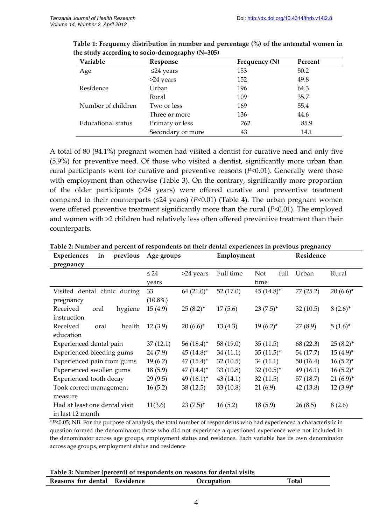| Variable           | Response          | Frequency (N) | Percent |  |
|--------------------|-------------------|---------------|---------|--|
| Age                | $\leq$ 24 years   | 153           | 50.2    |  |
|                    | >24 years         | 152           | 49.8    |  |
| Residence          | Urban             | 196           | 64.3    |  |
|                    | Rural             | 109           | 35.7    |  |
| Number of children | Two or less       | 169           | 55.4    |  |
|                    | Three or more     | 136           | 44.6    |  |
| Educational status | Primary or less   | 262           | 85.9    |  |
|                    | Secondary or more | 43            | 14.1    |  |

**Table 1: Frequency distribution in number and percentage (%) of the antenatal women in the study according to socio-demography (N=305)**

A total of 80 (94.1%) pregnant women had visited a dentist for curative need and only five (5.9%) for preventive need. Of those who visited a dentist, significantly more urban than rural participants went for curative and preventive reasons (*P*<0.01). Generally were those with employment than otherwise (Table 3). On the contrary, significantly more proportion of the older participants (>24 years) were offered curative and preventive treatment compared to their counterparts ( $\leq 24$  years) *(P*<0.01) (Table 4). The urban pregnant women were offered preventive treatment significantly more than the rural (*P*<0.01). The employed and women with >2 children had relatively less often offered preventive treatment than their counterparts.

| Experiences<br>previous<br>in    | Age groups                | Employment               | Residence                  |  |
|----------------------------------|---------------------------|--------------------------|----------------------------|--|
| pregnancy                        |                           |                          |                            |  |
|                                  | $\leq 24$<br>>24 years    | Full time<br>Not<br>full | Urban<br>Rural             |  |
|                                  | years                     | time                     |                            |  |
| Visited dental clinic during     | $64(21.0)^*$<br>33        | 52(17.0)<br>$45(14.8)^*$ | 77(25.2)<br>$20(6.6)^*$    |  |
| pregnancy                        | $(10.8\%)$                |                          |                            |  |
| Received<br>hygiene<br>oral      | 15(4.9)<br>$25(8.2)^{*}$  | $23(7.5)^*$<br>17(5.6)   | 32(10.5)<br>$8(2.6)^*$     |  |
| instruction                      |                           |                          |                            |  |
| Received<br>health<br>oral       | 12(3.9)<br>$20(6.6)^*$    | 13(4.3)<br>$19(6.2)^{*}$ | 27(8.9)<br>$5(1.6)^*$      |  |
| education                        |                           |                          |                            |  |
| Experienced dental pain          | 37(12.1)<br>56 $(18.4)^*$ | 58 (19.0)<br>35(11.5)    | 68 (22.3)<br>$25(8.2)^{*}$ |  |
| <b>Experienced bleeding gums</b> | 24 (7.9)<br>$45(14.8)^*$  | 34(11.1)<br>$35(11.5)^*$ | 54 (17.7)<br>$15(4.9)^{*}$ |  |
| Experienced pain from gums       | 19(6.2)<br>$47(15.4)^*$   | 32(10.5)<br>34(11.1)     | 50(16.4)<br>$16(5.2)^{*}$  |  |
| Experienced swollen gums         | 18(5.9)<br>$47(14.4)^*$   | $32(10.5)^*$<br>33(10.8) | 49(16.1)<br>$16(5.2)^{*}$  |  |
| Experienced tooth decay          | 29(9.5)<br>$49(16.1)^*$   | 43(14.1)<br>32(11.5)     | 57 (18.7)<br>$21(6.9)^{*}$ |  |
| Took correct management          | 16(5.2)<br>38(12.5)       | 33(10.8)<br>21(6.9)      | 42 (13.8)<br>$12(3.9)$ *   |  |
| measure                          |                           |                          |                            |  |
| Had at least one dental visit    | 11(3.6)<br>$23(7.5)^*$    | 16(5.2)<br>18(5.9)       | 26(8.5)<br>8(2.6)          |  |
| in last 12 month                 |                           |                          |                            |  |

**Table 2: Number and percent of respondents on their dental experiences in previous pregnancy**

\**P*<0.05; NB. For the purpose of analysis, the total number of respondents who had experienced a characteristic in question formed the denominator; those who did not experience a questioned experience were not included in the denominator across age groups, employment status and residence. Each variable has its own denominator across age groups, employment status and residence

| Table 3: Number (percent) of respondents on reasons for dental visits |  |  |  |
|-----------------------------------------------------------------------|--|--|--|
|-----------------------------------------------------------------------|--|--|--|

| Reasons for dental Residence | Occupation | Total |
|------------------------------|------------|-------|
|                              |            |       |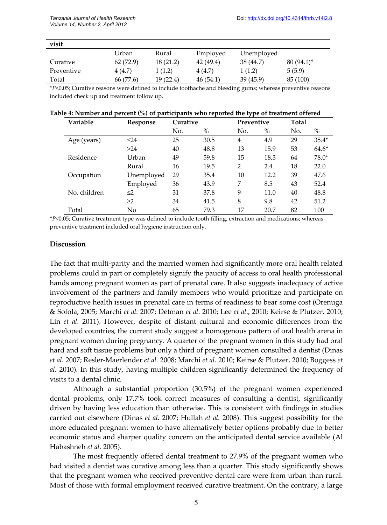| visit      |           |           |          |            |              |
|------------|-----------|-----------|----------|------------|--------------|
|            | Urban     | Rural     | Employed | Unemployed |              |
| Curative   | 62(72.9)  | 18(21.2)  | 42(49.4) | 38 (44.7)  | $80(94.1)^*$ |
| Preventive | 4 (4.7)   | 1(1.2)    | 4 (4.7)  | 1(1.2)     | 5(5.9)       |
| Total      | 66 (77.6) | 19 (22.4) | 46(54.1) | 39(45.9)   | 85 (100)     |

\**P*<0.05; Curative reasons were defined to include toothache and bleeding gums; whereas preventive reasons included check up and treatment follow up.

#### **Table 4: Number and percent (%) of participants who reported the type of treatment offered**

| Variable     | Response   | Curative |      |                | Preventive |     | Total   |  |
|--------------|------------|----------|------|----------------|------------|-----|---------|--|
|              |            | No.      | $\%$ | No.            | %          | No. | $\%$    |  |
| Age (years)  | $\leq$ 24  | 25       | 30.5 | 4              | 4.9        | 29  | $35.4*$ |  |
|              | >24        | 40       | 48.8 | 13             | 15.9       | 53  | $64.6*$ |  |
| Residence    | Urban      | 49       | 59.8 | 15             | 18.3       | 64  | $78.0*$ |  |
|              | Rural      | 16       | 19.5 | $\overline{2}$ | 2.4        | 18  | 22.0    |  |
| Occupation   | Unemployed | 29       | 35.4 | 10             | 12.2       | 39  | 47.6    |  |
|              | Employed   | 36       | 43.9 | 7              | 8.5        | 43  | 52.4    |  |
| No. children | $\leq$ 2   | 31       | 37.8 | 9              | 11.0       | 40  | 48.8    |  |
|              | $\geq$ 2   | 34       | 41.5 | 8              | 9.8        | 42  | 51.2    |  |
| Total        | No         | 65       | 79.3 | 17             | 20.7       | 82  | 100     |  |

\**P*<0.05; Curative treatment type was defined to include tooth filling, extraction and medications; whereas preventive treatment included oral hygiene instruction only.

#### **Discussion**

The fact that multi-parity and the married women had significantly more oral health related problems could in part or completely signify the paucity of access to oral health professional hands among pregnant women as part of prenatal care. It also suggests inadequacy of active involvement of the partners and family members who would prioritize and participate on reproductive health issues in prenatal care in terms of readiness to bear some cost (Orenuga & Sofola, 2005; Marchi *et al.* 2007; Detman *et al*. 2010; Lee *et al*., 2010; Keirse & Plutzer, 2010; Lin *et al.* 2011). However, despite of distant cultural and economic differences from the developed countries, the current study suggest a homogenous pattern of oral health arena in pregnant women during pregnancy. A quarter of the pregnant women in this study had oral hard and soft tissue problems but only a third of pregnant women consulted a dentist (Dinas *et al.* 2007; Resler-Maerlender *et al.* 2008; Marchi *et al.* 2010; Keirse & Plutzer, 2010; Boggess *et al.* 2010). In this study, having multiple children significantly determined the frequency of visits to a dental clinic.

Although a substantial proportion (30.5%) of the pregnant women experienced dental problems, only 17.7% took correct measures of consulting a dentist, significantly driven by having less education than otherwise. This is consistent with findings in studies carried out elsewhere (Dinas *et al.* 2007; Hullah *et al.* 2008). This suggest possibility for the more educated pregnant women to have alternatively better options probably due to better economic status and sharper quality concern on the anticipated dental service available (Al Habashneh *et al.* 2005).

The most frequently offered dental treatment to 27.9% of the pregnant women who had visited a dentist was curative among less than a quarter. This study significantly shows that the pregnant women who received preventive dental care were from urban than rural. Most of those with formal employment received curative treatment. On the contrary, a large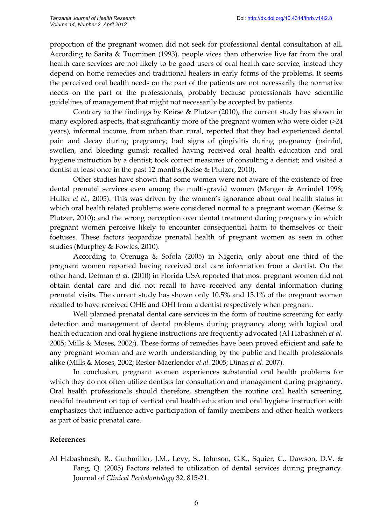proportion of the pregnant women did not seek for professional dental consultation at all**.** According to Sarita & Tuominen (1993), people vices than otherwise live far from the oral health care services are not likely to be good users of oral health care service, instead they depend on home remedies and traditional healers in early forms of the problems**.** It seems the perceived oral health needs on the part of the patients are not necessarily the normative needs on the part of the professionals, probably because professionals have scientific guidelines of management that might not necessarily be accepted by patients.

Contrary to the findings by Keirse & Plutzer (2010), the current study has shown in many explored aspects, that significantly more of the pregnant women who were older (>24 years), informal income, from urban than rural, reported that they had experienced dental pain and decay during pregnancy; had signs of gingivitis during pregnancy (painful, swollen, and bleeding gums); recalled having received oral health education and oral hygiene instruction by a dentist; took correct measures of consulting a dentist; and visited a dentist at least once in the past 12 months (Keise & Plutzer, 2010).

Other studies have shown that some women were not aware of the existence of free dental prenatal services even among the multi-gravid women (Manger & Arrindel 1996; Huller *et al.,* 2005). This was driven by the women's ignorance about oral health status in which oral health related problems were considered normal to a pregnant woman (Keirse & Plutzer, 2010); and the wrong perception over dental treatment during pregnancy in which pregnant women perceive likely to encounter consequential harm to themselves or their foetuses. These factors jeopardize prenatal health of pregnant women as seen in other studies (Murphey & Fowles, 2010).

According to Orenuga & Sofola (2005) in Nigeria, only about one third of the pregnant women reported having received oral care information from a dentist. On the other hand, Detman *et al*. (2010) in Florida USA reported that most pregnant women did not obtain dental care and did not recall to have received any dental information during prenatal visits. The current study has shown only 10.5% and 13.1% of the pregnant women recalled to have received OHE and OHI from a dentist respectively when pregnant.

Well planned prenatal dental care services in the form of routine screening for early detection and management of dental problems during pregnancy along with logical oral health education and oral hygiene instructions are frequently advocated (Al Habashneh *et al.* 2005; Mills & Moses, 2002;). These forms of remedies have been proved efficient and safe to any pregnant woman and are worth understanding by the public and health professionals alike (Mills & Moses, 2002; Resler-Maerlender *et al.* 2005; Dinas *et al*. 2007).

In conclusion, pregnant women experiences substantial oral health problems for which they do not often utilize dentists for consultation and management during pregnancy. Oral health professionals should therefore, strengthen the routine oral health screening, needful treatment on top of vertical oral health education and oral hygiene instruction with emphasizes that influence active participation of family members and other health workers as part of basic prenatal care.

## **References**

Al Habashnesh, R., Guthmiller, J.M., Levy, S., Johnson, G.K., Squier, C., Dawson, D.V. & Fang, Q. (2005) Factors related to utilization of dental services during pregnancy. Journal of *Clinical Periodontology* 32, 815-21.